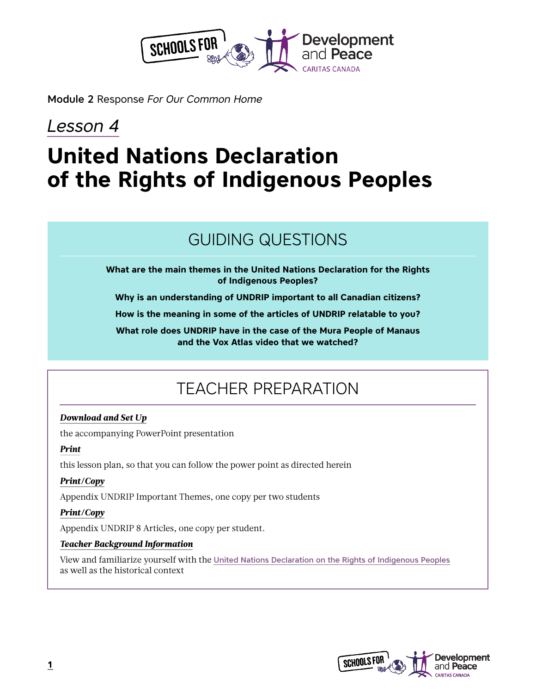

Module 2 Response *For Our Common Home*

# *Lesson 4*

# **United Nations Declaration of the Rights of Indigenous Peoples**

# GUIDING QUESTIONS

**What are the main themes in the United Nations Declaration for the Rights of Indigenous Peoples?**

**Why is an understanding of UNDRIP important to all Canadian citizens?**

**How is the meaning in some of the articles of UNDRIP relatable to you?**

**What role does UNDRIP have in the case of the Mura People of Manaus and the Vox Atlas video that we watched?**

# TEACHER PREPARATION

## *Download and Set Up*

the accompanying PowerPoint presentation

## *Print*

this lesson plan, so that you can follow the power point as directed herein

## *Print/Copy*

Appendix UNDRIP Important Themes, one copy per two students

## *Print/Copy*

Appendix UNDRIP 8 Articles, one copy per student.

## *Teacher Background Information*

View and familiarize yourself with the [United Nations Declaration on the Rights of Indigenous Peoples](https://www.un.org/development/desa/indigenouspeoples/declaration-on-the-rights-of-indigenous-peoples.html) as well as the historical context

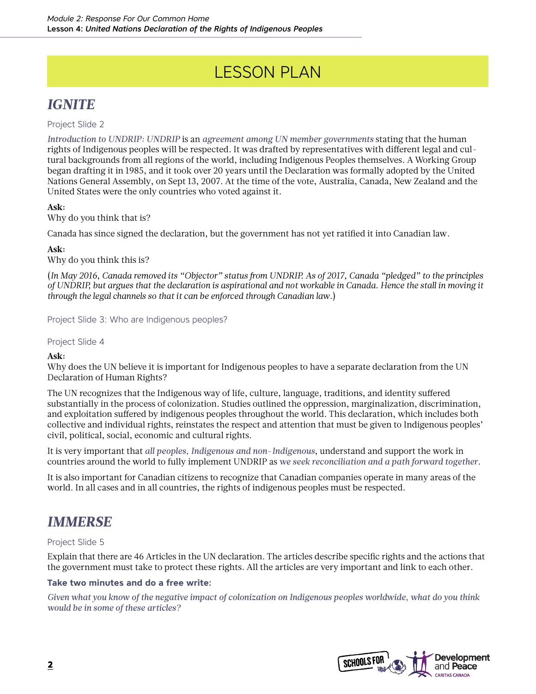# LESSON PLAN

## *IGNITE*

Project Slide 2

*Introduction to UNDRIP: UNDRIP* is an *agreement among UN member governments* stating that the human rights of Indigenous peoples will be respected. It was drafted by representatives with different legal and cultural backgrounds from all regions of the world, including Indigenous Peoples themselves. A Working Group began drafting it in 1985, and it took over 20 years until the Declaration was formally adopted by the United Nations General Assembly, on Sept 13, 2007. At the time of the vote, Australia, Canada, New Zealand and the United States were the only countries who voted against it.

## **Ask:**

Why do you think that is?

Canada has since signed the declaration, but the government has not yet ratified it into Canadian law.

## **Ask:**

Why do you think this is?

(*In May 2016, Canada removed its "Objector" status from UNDRIP. As of 2017, Canada "pledged" to the principles of UNDRIP, but argues that the declaration is aspirational and not workable in Canada. Hence the stall in moving it through the legal channels so that it can be enforced through Canadian law.*)

Project Slide 3: Who are Indigenous peoples?

## Project Slide 4

## **Ask:**

Why does the UN believe it is important for Indigenous peoples to have a separate declaration from the UN Declaration of Human Rights?

The UN recognizes that the Indigenous way of life, culture, language, traditions, and identity suffered substantially in the process of colonization. Studies outlined the oppression, marginalization, discrimination, and exploitation suffered by indigenous peoples throughout the world. This declaration, which includes both collective and individual rights, reinstates the respect and attention that must be given to Indigenous peoples' civil, political, social, economic and cultural rights.

It is very important that *all peoples, Indigenous and non-Indigenous*, understand and support the work in countries around the world to fully implement UNDRIP as *we seek reconciliation and a path forward together*.

It is also important for Canadian citizens to recognize that Canadian companies operate in many areas of the world. In all cases and in all countries, the rights of indigenous peoples must be respected.

## *IMMERSE*

## Project Slide 5

Explain that there are 46 Articles in the UN declaration. The articles describe specific rights and the actions that the government must take to protect these rights. All the articles are very important and link to each other.

## **Take two minutes and do a free write:**

*Given what you know of the negative impact of colonization on Indigenous peoples worldwide, what do you think would be in some of these articles?*

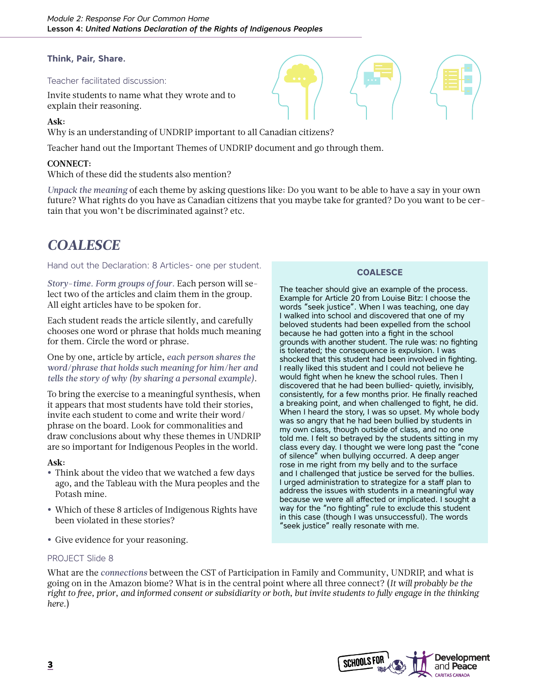## **Think, Pair, Share.**

#### Teacher facilitated discussion:

Invite students to name what they wrote and to explain their reasoning.

#### **Ask:**

Why is an understanding of UNDRIP important to all Canadian citizens?

Teacher hand out the Important Themes of UNDRIP document and go through them.

## **CONNECT:**

Which of these did the students also mention?

*Unpack the meaning* of each theme by asking questions like: Do you want to be able to have a say in your own future? What rights do you have as Canadian citizens that you maybe take for granted? Do you want to be certain that you won't be discriminated against? etc.

## *COALESCE*

#### Hand out the Declaration: 8 Articles- one per student.

*Story-time. Form groups of four.* Each person will select two of the articles and claim them in the group. All eight articles have to be spoken for.

Each student reads the article silently, and carefully chooses one word or phrase that holds much meaning for them. Circle the word or phrase.

One by one, article by article, *each person shares the word/phrase that holds such meaning for him/her and tells the story of why (by sharing a personal example)*.

To bring the exercise to a meaningful synthesis, when it appears that most students have told their stories, invite each student to come and write their word/ phrase on the board. Look for commonalities and draw conclusions about why these themes in UNDRIP are so important for Indigenous Peoples in the world.

#### **Ask:**

- **•** Think about the video that we watched a few days ago, and the Tableau with the Mura peoples and the Potash mine.
- **•** Which of these 8 articles of Indigenous Rights have been violated in these stories?
- **•** Give evidence for your reasoning.

## PROJECT Slide 8

What are the *connections* between the CST of Participation in Family and Community, UNDRIP, and what is going on in the Amazon biome? What is in the central point where all three connect? (*It will probably be the right to free, prior, and informed consent or subsidiarity or both, but invite students to fully engage in the thinking here.*)

## **COALESCE**

The teacher should give an example of the process. Example for Article 20 from Louise Bitz: I choose the words "seek justice". When I was teaching, one day I walked into school and discovered that one of my beloved students had been expelled from the school because he had gotten into a fight in the school grounds with another student. The rule was: no fighting is tolerated; the consequence is expulsion. I was shocked that this student had been involved in fighting. I really liked this student and I could not believe he would fight when he knew the school rules. Then I discovered that he had been bullied- quietly, invisibly, consistently, for a few months prior. He finally reached a breaking point, and when challenged to fight, he did. When I heard the story, I was so upset. My whole body was so angry that he had been bullied by students in my own class, though outside of class, and no one told me. I felt so betrayed by the students sitting in my class every day. I thought we were long past the "cone of silence" when bullying occurred. A deep anger rose in me right from my belly and to the surface and I challenged that justice be served for the bullies. I urged administration to strategize for a staff plan to address the issues with students in a meaningful way because we were all affected or implicated. I sought a way for the "no fighting" rule to exclude this student in this case (though I was unsuccessful). The words "seek justice" really resonate with me.

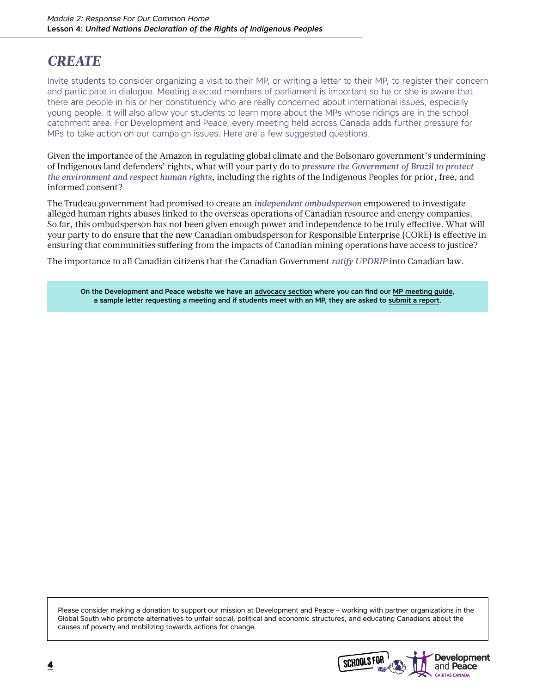## *CREATE*

Invite students to consider organizing a visit to their MP, or writing a letter to their MP, to register their concern and participate in dialogue. Meeting elected members of parliament is important so he or she is aware that there are people in his or her constituency who are really concerned about international issues, especially young people. It will also allow your students to learn more about the MPs whose ridings are in the school catchment area. For Development and Peace, every meeting held across Canada adds further pressure for MPs to take action on our campaign issues. Here are a few suggested questions.

Given the importance of the Amazon in regulating global climate and the Bolsonaro government's undermining of Indigenous land defenders' rights, what will your party do to *pressure the Government of Brazil to protect the environment and respect human rights*, including the rights of the Indigenous Peoples for prior, free, and informed consent?

The Trudeau government had promised to create an *independent ombudsperson* empowered to investigate alleged human rights abuses linked to the overseas operations of Canadian resource and energy companies. So far, this ombudsperson has not been given enough power and independence to be truly effective. What will your party to do ensure that the new Canadian ombudsperson for Responsible Enterprise (CORE) is effective in ensuring that communities suffering from the impacts of Canadian mining operations have access to justice?

The importance to all Canadian citizens that the Canadian Government *ratify UPDRIP* into Canadian law.

On the Development and Peace website we have an [advocacy section](https://www.devp.org/en/resources/advocacy) where you can find our [MP meeting guide](https://www.devp.org/sites/www.devp.org/files/documents/materials/devpeace_mpdialogueguide_2013.pdf), a sample letter requesting a meeting and if students meet with an MP, they are asked to [submit a report.](https://www.devp.org/en/campaign/reportac)

Please consider making a donation to support our mission at Development and Peace – working with partner organizations in the Global South who promote alternatives to unfair social, political and economic structures, and educating Canadians about the causes of poverty and mobilizing towards actions for change.

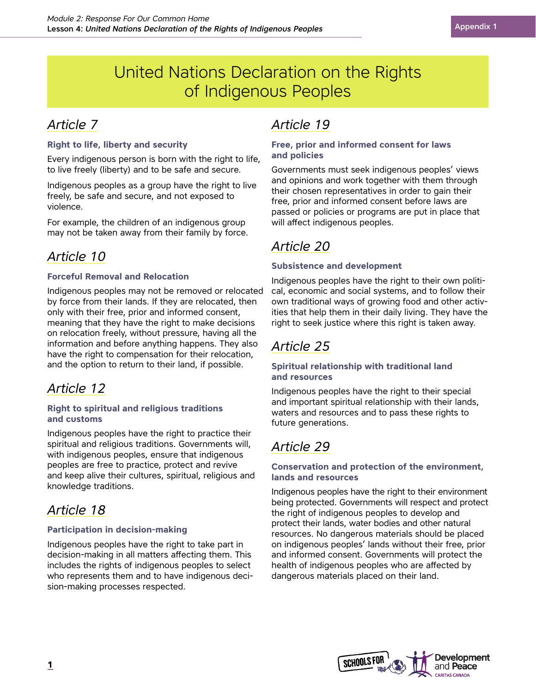# United Nations Declaration on the Rights of Indigenous Peoples

## *Article 7*

## **Right to life, liberty and security**

Every indigenous person is born with the right to life, to live freely (liberty) and to be safe and secure.

Indigenous peoples as a group have the right to live freely, be safe and secure, and not exposed to violence.

For example, the children of an indigenous group may not be taken away from their family by force.

## *Article 10*

## **Forceful Removal and Relocation**

Indigenous peoples may not be removed or relocated by force from their lands. If they are relocated, then only with their free, prior and informed consent, meaning that they have the right to make decisions on relocation freely, without pressure, having all the information and before anything happens. They also have the right to compensation for their relocation, and the option to return to their land, if possible.

## *Article 12*

## **Right to spiritual and religious traditions and customs**

Indigenous peoples have the right to practice their spiritual and religious traditions. Governments will, with indigenous peoples, ensure that indigenous peoples are free to practice, protect and revive and keep alive their cultures, spiritual, religious and knowledge traditions.

## *Article 18*

## **Participation in decision-making**

Indigenous peoples have the right to take part in decision-making in all matters affecting them. This includes the rights of indigenous peoples to select who represents them and to have indigenous decision-making processes respected.

## *Article 19*

## **Free, prior and informed consent for laws and policies**

Governments must seek indigenous peoples' views and opinions and work together with them through their chosen representatives in order to gain their free, prior and informed consent before laws are passed or policies or programs are put in place that will affect indigenous peoples.

## *Article 20*

## **Subsistence and development**

Indigenous peoples have the right to their own political, economic and social systems, and to follow their own traditional ways of growing food and other activities that help them in their daily living. They have the right to seek justice where this right is taken away.

## *Article 25*

## **Spiritual relationship with traditional land and resources**

Indigenous peoples have the right to their special and important spiritual relationship with their lands, waters and resources and to pass these rights to future generations.

## *Article 29*

## **Conservation and protection of the environment, lands and resources**

Indigenous peoples have the right to their environment being protected. Governments will respect and protect the right of indigenous peoples to develop and protect their lands, water bodies and other natural resources. No dangerous materials should be placed on indigenous peoples' lands without their free, prior and informed consent. Governments will protect the health of indigenous peoples who are affected by dangerous materials placed on their land.